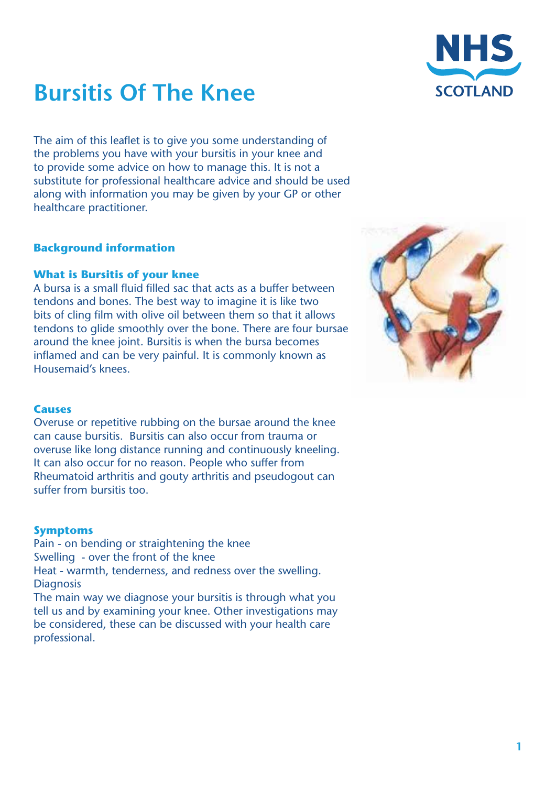

# **Bursitis Of The Knee**

The aim of this leaflet is to give you some understanding of the problems you have with your bursitis in your knee and to provide some advice on how to manage this. It is not a substitute for professional healthcare advice and should be used along with information you may be given by your GP or other healthcare practitioner.

# **Background information**

## **What is Bursitis of your knee**

A bursa is a small fluid filled sac that acts as a buffer between tendons and bones. The best way to imagine it is like two bits of cling film with olive oil between them so that it allows tendons to glide smoothly over the bone. There are four bursae around the knee joint. Bursitis is when the bursa becomes inflamed and can be very painful. It is commonly known as Housemaid's knees.



# **Causes**

Overuse or repetitive rubbing on the bursae around the knee can cause bursitis. Bursitis can also occur from trauma or overuse like long distance running and continuously kneeling. It can also occur for no reason. People who suffer from Rheumatoid arthritis and gouty arthritis and pseudogout can suffer from bursitis too.

# **Symptoms**

Pain - on bending or straightening the knee Swelling - over the front of the knee Heat - warmth, tenderness, and redness over the swelling. **Diagnosis** 

The main way we diagnose your bursitis is through what you tell us and by examining your knee. Other investigations may be considered, these can be discussed with your health care professional.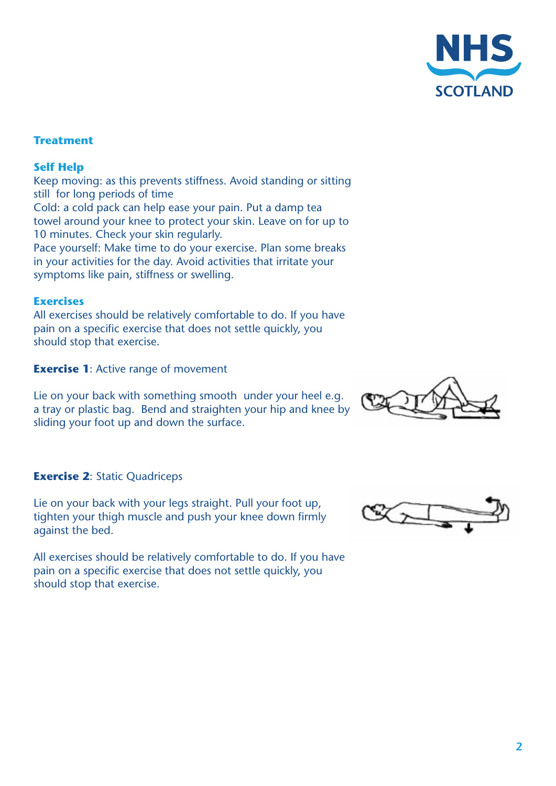

# **Treatment**

## **Self Help**

Keep moving: as this prevents stiffness. Avoid standing or sitting still for long periods of time Cold: a cold pack can help ease your pain. Put a damp tea towel around your knee to protect your skin. Leave on for up to 10 minutes. Check your skin regularly. Pace yourself: Make time to do your exercise. Plan some breaks

in your activities for the day. Avoid activities that irritate your symptoms like pain, stiffness or swelling.

#### **Exercises**

All exercises should be relatively comfortable to do. If you have pain on a specific exercise that does not settle quickly, you should stop that exercise.

**Exercise 1:** Active range of movement

Lie on your back with something smooth under your heel e.g. a tray or plastic bag. Bend and straighten your hip and knee by sliding your foot up and down the surface.

#### **Exercise 2**: Static Quadriceps

Lie on your back with your legs straight. Pull your foot up, tighten your thigh muscle and push your knee down firmly against the bed.

All exercises should be relatively comfortable to do. If you have pain on a specific exercise that does not settle quickly, you should stop that exercise.